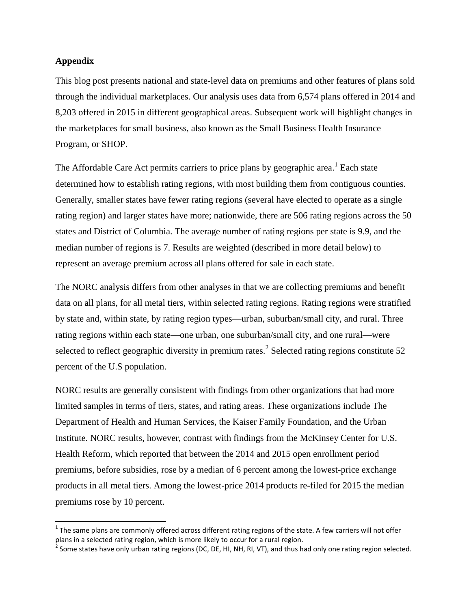## **Appendix**

 $\overline{\phantom{a}}$ 

This blog post presents national and state-level data on premiums and other features of plans sold through the individual marketplaces. Our analysis uses data from 6,574 plans offered in 2014 and 8,203 offered in 2015 in different geographical areas. Subsequent work will highlight changes in the marketplaces for small business, also known as the Small Business Health Insurance Program, or SHOP.

The Affordable Care Act permits carriers to price plans by geographic area.<sup>1</sup> Each state determined how to establish rating regions, with most building them from contiguous counties. Generally, smaller states have fewer rating regions (several have elected to operate as a single rating region) and larger states have more; nationwide, there are 506 rating regions across the 50 states and District of Columbia. The average number of rating regions per state is 9.9, and the median number of regions is 7. Results are weighted (described in more detail below) to represent an average premium across all plans offered for sale in each state.

The NORC analysis differs from other analyses in that we are collecting premiums and benefit data on all plans, for all metal tiers, within selected rating regions. Rating regions were stratified by state and, within state, by rating region types—urban, suburban/small city, and rural. Three rating regions within each state—one urban, one suburban/small city, and one rural—were selected to reflect geographic diversity in premium rates.<sup>2</sup> Selected rating regions constitute 52 percent of the U.S population.

NORC results are generally consistent with findings from other organizations that had more limited samples in terms of tiers, states, and rating areas. These organizations include The Department of Health and Human Services, the Kaiser Family Foundation, and the Urban Institute. NORC results, however, contrast with findings from the McKinsey Center for U.S. Health Reform, which reported that between the 2014 and 2015 open enrollment period premiums, before subsidies, rose by a median of 6 percent among the lowest-price exchange products in all metal tiers. Among the lowest-price 2014 products re-filed for 2015 the median premiums rose by 10 percent.

 $^1$  The same plans are commonly offered across different rating regions of the state. A few carriers will not offer

plans in a selected rating region, which is more likely to occur for a rural region.<br><sup>2</sup> Some states have only urban rating regions (DC, DE, HI, NH, RI, VT), and thus had only one rating region selected.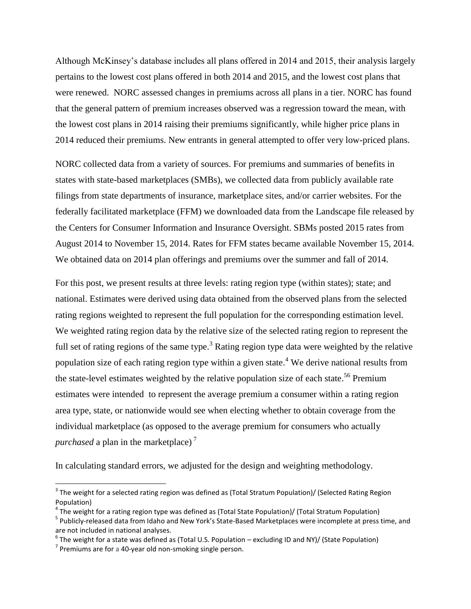Although McKinsey's database includes all plans offered in 2014 and 2015, their analysis largely pertains to the lowest cost plans offered in both 2014 and 2015, and the lowest cost plans that were renewed. NORC assessed changes in premiums across all plans in a tier. NORC has found that the general pattern of premium increases observed was a regression toward the mean, with the lowest cost plans in 2014 raising their premiums significantly, while higher price plans in 2014 reduced their premiums. New entrants in general attempted to offer very low-priced plans.

NORC collected data from a variety of sources. For premiums and summaries of benefits in states with state-based marketplaces (SMBs), we collected data from publicly available rate filings from state departments of insurance, marketplace sites, and/or carrier websites. For the federally facilitated marketplace (FFM) we downloaded data from the Landscape file released by the Centers for Consumer Information and Insurance Oversight. SBMs posted 2015 rates from August 2014 to November 15, 2014. Rates for FFM states became available November 15, 2014. We obtained data on 2014 plan offerings and premiums over the summer and fall of 2014.

For this post, we present results at three levels: rating region type (within states); state; and national. Estimates were derived using data obtained from the observed plans from the selected rating regions weighted to represent the full population for the corresponding estimation level. We weighted rating region data by the relative size of the selected rating region to represent the full set of rating regions of the same type.<sup>3</sup> Rating region type data were weighted by the relative population size of each rating region type within a given state.<sup>4</sup> We derive national results from the state-level estimates weighted by the relative population size of each state.<sup>56</sup> Premium estimates were intended to represent the average premium a consumer within a rating region area type, state, or nationwide would see when electing whether to obtain coverage from the individual marketplace (as opposed to the average premium for consumers who actually *purchased* a plan in the marketplace)<sup>7</sup>

In calculating standard errors, we adjusted for the design and weighting methodology.

 $\overline{\phantom{a}}$ 

 $^3$  The weight for a selected rating region was defined as (Total Stratum Population)/ (Selected Rating Region Population)

<sup>&</sup>lt;sup>4</sup> The weight for a rating region type was defined as (Total State Population)/ (Total Stratum Population)

<sup>&</sup>lt;sup>5</sup> Publicly-released data from Idaho and New York's State-Based Marketplaces were incomplete at press time, and are not included in national analyses.

 $^6$  The weight for a state was defined as (Total U.S. Population – excluding ID and NY)/ (State Population)

 $7$  Premiums are for a 40-year old non-smoking single person.